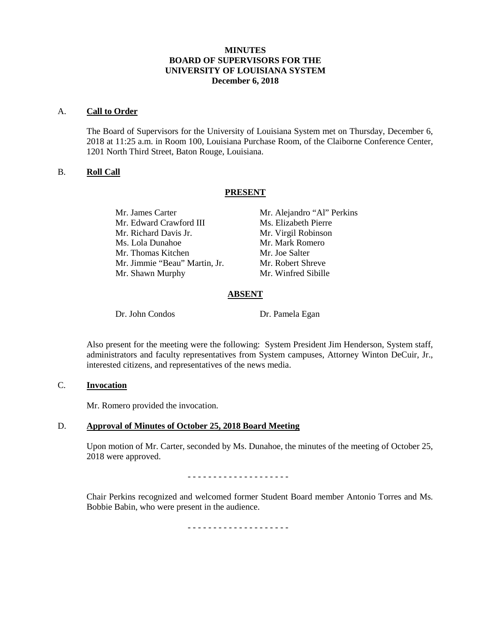# **MINUTES BOARD OF SUPERVISORS FOR THE UNIVERSITY OF LOUISIANA SYSTEM December 6, 2018**

### A. **Call to Order**

The Board of Supervisors for the University of Louisiana System met on Thursday, December 6, 2018 at 11:25 a.m. in Room 100, Louisiana Purchase Room, of the Claiborne Conference Center, 1201 North Third Street, Baton Rouge, Louisiana.

# B. **Roll Call**

# **PRESENT**

Mr. James Carter Mr. Alejandro "Al" Perkins Mr. Edward Crawford III Ms. Elizabeth Pierre Mr. Richard Davis Jr. Mr. Virgil Robinson Ms. Lola Dunahoe Mr. Mark Romero Mr. Thomas Kitchen Mr. Joe Salter Mr. Jimmie "Beau" Martin, Jr. Mr. Robert Shreve Mr. Shawn Murphy Mr. Winfred Sibille

## **ABSENT**

Dr. John Condos Dr. Pamela Egan

Also present for the meeting were the following: System President Jim Henderson, System staff, administrators and faculty representatives from System campuses, Attorney Winton DeCuir, Jr., interested citizens, and representatives of the news media.

# C. **Invocation**

Mr. Romero provided the invocation.

# D. **Approval of Minutes of October 25, 2018 Board Meeting**

Upon motion of Mr. Carter, seconded by Ms. Dunahoe, the minutes of the meeting of October 25, 2018 were approved.

- - - - - - - - - - - - - - - - - - - -

Chair Perkins recognized and welcomed former Student Board member Antonio Torres and Ms. Bobbie Babin, who were present in the audience.

- - - - - - - - - - - - - - - - - - - -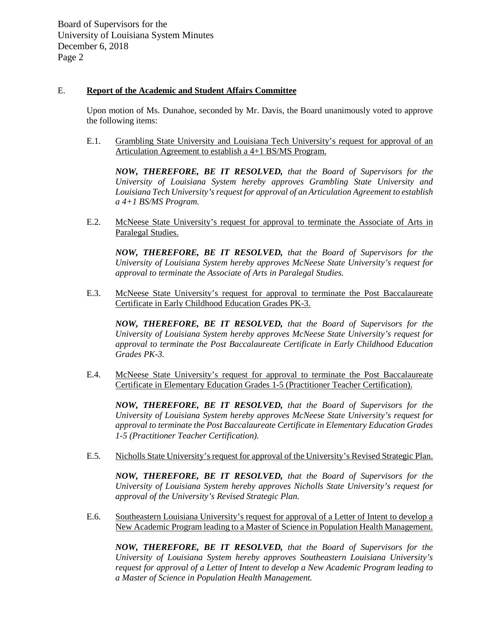# E. **Report of the Academic and Student Affairs Committee**

Upon motion of Ms. Dunahoe, seconded by Mr. Davis, the Board unanimously voted to approve the following items:

E.1. Grambling State University and Louisiana Tech University's request for approval of an Articulation Agreement to establish a 4+1 BS/MS Program.

*NOW, THEREFORE, BE IT RESOLVED, that the Board of Supervisors for the University of Louisiana System hereby approves Grambling State University and Louisiana Tech University's request for approval of an Articulation Agreement to establish a 4+1 BS/MS Program.* 

E.2. McNeese State University's request for approval to terminate the Associate of Arts in Paralegal Studies.

*NOW, THEREFORE, BE IT RESOLVED, that the Board of Supervisors for the University of Louisiana System hereby approves McNeese State University's request for approval to terminate the Associate of Arts in Paralegal Studies.*

E.3. McNeese State University's request for approval to terminate the Post Baccalaureate Certificate in Early Childhood Education Grades PK-3.

*NOW, THEREFORE, BE IT RESOLVED, that the Board of Supervisors for the University of Louisiana System hereby approves McNeese State University's request for approval to terminate the Post Baccalaureate Certificate in Early Childhood Education Grades PK-3.*

E.4. McNeese State University's request for approval to terminate the Post Baccalaureate Certificate in Elementary Education Grades 1-5 (Practitioner Teacher Certification).

*NOW, THEREFORE, BE IT RESOLVED, that the Board of Supervisors for the University of Louisiana System hereby approves McNeese State University's request for approval to terminate the Post Baccalaureate Certificate in Elementary Education Grades 1-5 (Practitioner Teacher Certification).*

E.5. Nicholls State University's request for approval of the University's Revised Strategic Plan.

*NOW, THEREFORE, BE IT RESOLVED, that the Board of Supervisors for the University of Louisiana System hereby approves Nicholls State University's request for approval of the University's Revised Strategic Plan.* 

E.6. Southeastern Louisiana University's request for approval of a Letter of Intent to develop a New Academic Program leading to a Master of Science in Population Health Management.

*NOW, THEREFORE, BE IT RESOLVED, that the Board of Supervisors for the University of Louisiana System hereby approves Southeastern Louisiana University's request for approval of a Letter of Intent to develop a New Academic Program leading to a Master of Science in Population Health Management.*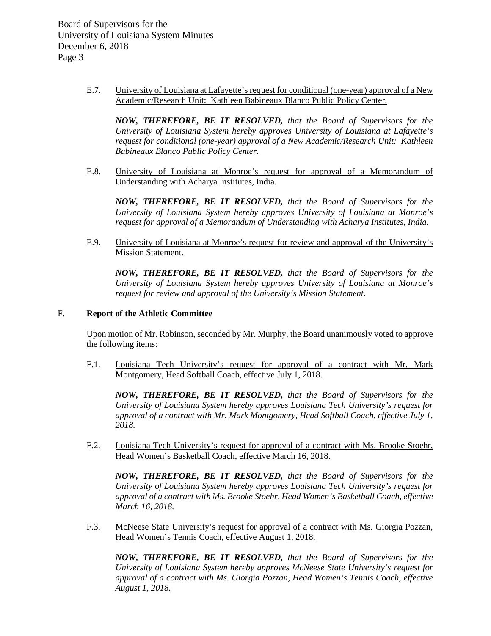> E.7. University of Louisiana at Lafayette's request for conditional (one-year) approval of a New Academic/Research Unit: Kathleen Babineaux Blanco Public Policy Center.

*NOW, THEREFORE, BE IT RESOLVED, that the Board of Supervisors for the University of Louisiana System hereby approves University of Louisiana at Lafayette's request for conditional (one-year) approval of a New Academic/Research Unit: Kathleen Babineaux Blanco Public Policy Center.*

E.8. University of Louisiana at Monroe's request for approval of a Memorandum of Understanding with Acharya Institutes, India.

*NOW, THEREFORE, BE IT RESOLVED, that the Board of Supervisors for the University of Louisiana System hereby approves University of Louisiana at Monroe's request for approval of a Memorandum of Understanding with Acharya Institutes, India.*

E.9. University of Louisiana at Monroe's request for review and approval of the University's **Mission Statement.** 

*NOW, THEREFORE, BE IT RESOLVED, that the Board of Supervisors for the University of Louisiana System hereby approves University of Louisiana at Monroe's request for review and approval of the University's Mission Statement.*

### F. **Report of the Athletic Committee**

Upon motion of Mr. Robinson, seconded by Mr. Murphy, the Board unanimously voted to approve the following items:

F.1. Louisiana Tech University's request for approval of a contract with Mr. Mark Montgomery, Head Softball Coach, effective July 1, 2018.

*NOW, THEREFORE, BE IT RESOLVED, that the Board of Supervisors for the University of Louisiana System hereby approves Louisiana Tech University's request for approval of a contract with Mr. Mark Montgomery, Head Softball Coach, effective July 1, 2018.*

F.2. Louisiana Tech University's request for approval of a contract with Ms. Brooke Stoehr, Head Women's Basketball Coach, effective March 16, 2018.

*NOW, THEREFORE, BE IT RESOLVED, that the Board of Supervisors for the University of Louisiana System hereby approves Louisiana Tech University's request for approval of a contract with Ms. Brooke Stoehr, Head Women's Basketball Coach, effective March 16, 2018.*

F.3. McNeese State University's request for approval of a contract with Ms. Giorgia Pozzan, Head Women's Tennis Coach, effective August 1, 2018.

*NOW, THEREFORE, BE IT RESOLVED, that the Board of Supervisors for the University of Louisiana System hereby approves McNeese State University's request for approval of a contract with Ms. Giorgia Pozzan, Head Women's Tennis Coach, effective August 1, 2018.*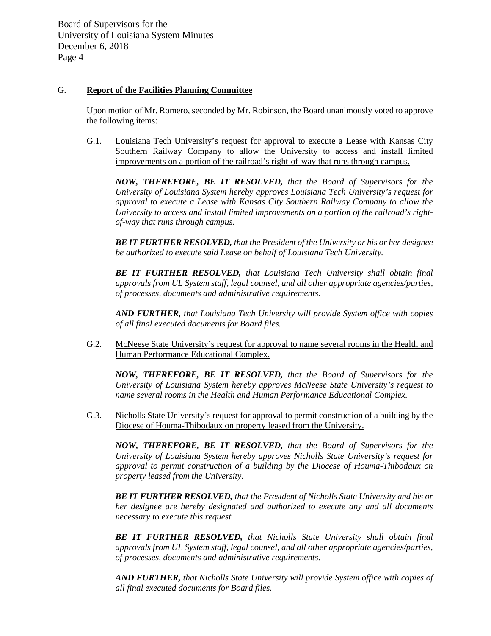## G. **Report of the Facilities Planning Committee**

Upon motion of Mr. Romero, seconded by Mr. Robinson, the Board unanimously voted to approve the following items:

G.1. Louisiana Tech University's request for approval to execute a Lease with Kansas City Southern Railway Company to allow the University to access and install limited improvements on a portion of the railroad's right-of-way that runs through campus.

*NOW, THEREFORE, BE IT RESOLVED, that the Board of Supervisors for the University of Louisiana System hereby approves Louisiana Tech University's request for approval to execute a Lease with Kansas City Southern Railway Company to allow the University to access and install limited improvements on a portion of the railroad's rightof-way that runs through campus.* 

*BE IT FURTHER RESOLVED, that the President of the University or his or her designee be authorized to execute said Lease on behalf of Louisiana Tech University.*

*BE IT FURTHER RESOLVED, that Louisiana Tech University shall obtain final approvals from UL System staff, legal counsel, and all other appropriate agencies/parties, of processes, documents and administrative requirements.*

*AND FURTHER, that Louisiana Tech University will provide System office with copies of all final executed documents for Board files.*

G.2. McNeese State University's request for approval to name several rooms in the Health and Human Performance Educational Complex.

*NOW, THEREFORE, BE IT RESOLVED, that the Board of Supervisors for the University of Louisiana System hereby approves McNeese State University's request to name several rooms in the Health and Human Performance Educational Complex.*

G.3. Nicholls State University's request for approval to permit construction of a building by the Diocese of Houma-Thibodaux on property leased from the University.

*NOW, THEREFORE, BE IT RESOLVED, that the Board of Supervisors for the University of Louisiana System hereby approves Nicholls State University's request for approval to permit construction of a building by the Diocese of Houma-Thibodaux on property leased from the University.*

*BE IT FURTHER RESOLVED, that the President of Nicholls State University and his or her designee are hereby designated and authorized to execute any and all documents necessary to execute this request.*

*BE IT FURTHER RESOLVED, that Nicholls State University shall obtain final approvals from UL System staff, legal counsel, and all other appropriate agencies/parties, of processes, documents and administrative requirements.*

*AND FURTHER, that Nicholls State University will provide System office with copies of all final executed documents for Board files.*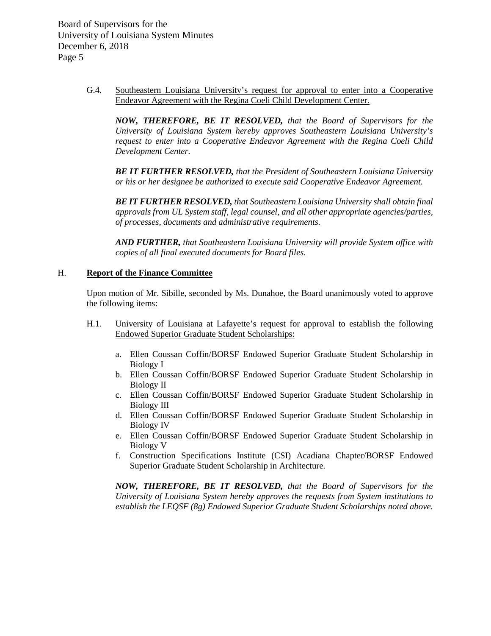> G.4. Southeastern Louisiana University's request for approval to enter into a Cooperative Endeavor Agreement with the Regina Coeli Child Development Center.

*NOW, THEREFORE, BE IT RESOLVED, that the Board of Supervisors for the University of Louisiana System hereby approves Southeastern Louisiana University's request to enter into a Cooperative Endeavor Agreement with the Regina Coeli Child Development Center.*

*BE IT FURTHER RESOLVED, that the President of Southeastern Louisiana University or his or her designee be authorized to execute said Cooperative Endeavor Agreement.*

*BE IT FURTHER RESOLVED, that Southeastern Louisiana University shall obtain final approvals from UL System staff, legal counsel, and all other appropriate agencies/parties, of processes, documents and administrative requirements.*

*AND FURTHER, that Southeastern Louisiana University will provide System office with copies of all final executed documents for Board files.*

#### H. **Report of the Finance Committee**

Upon motion of Mr. Sibille, seconded by Ms. Dunahoe, the Board unanimously voted to approve the following items:

- H.1. University of Louisiana at Lafayette's request for approval to establish the following Endowed Superior Graduate Student Scholarships:
	- a. Ellen Coussan Coffin/BORSF Endowed Superior Graduate Student Scholarship in Biology I
	- b. Ellen Coussan Coffin/BORSF Endowed Superior Graduate Student Scholarship in Biology II
	- c. Ellen Coussan Coffin/BORSF Endowed Superior Graduate Student Scholarship in Biology III
	- d. Ellen Coussan Coffin/BORSF Endowed Superior Graduate Student Scholarship in Biology IV
	- e. Ellen Coussan Coffin/BORSF Endowed Superior Graduate Student Scholarship in Biology V
	- f. Construction Specifications Institute (CSI) Acadiana Chapter/BORSF Endowed Superior Graduate Student Scholarship in Architecture.

*NOW, THEREFORE, BE IT RESOLVED, that the Board of Supervisors for the University of Louisiana System hereby approves the requests from System institutions to establish the LEQSF (8g) Endowed Superior Graduate Student Scholarships noted above.*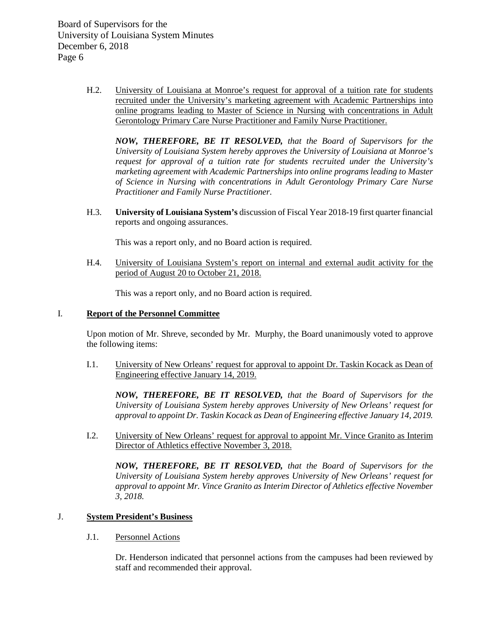> H.2. University of Louisiana at Monroe's request for approval of a tuition rate for students recruited under the University's marketing agreement with Academic Partnerships into online programs leading to Master of Science in Nursing with concentrations in Adult Gerontology Primary Care Nurse Practitioner and Family Nurse Practitioner.

*NOW, THEREFORE, BE IT RESOLVED, that the Board of Supervisors for the University of Louisiana System hereby approves the University of Louisiana at Monroe's request for approval of a tuition rate for students recruited under the University's marketing agreement with Academic Partnerships into online programs leading to Master of Science in Nursing with concentrations in Adult Gerontology Primary Care Nurse Practitioner and Family Nurse Practitioner.* 

H.3. **University of Louisiana System's** discussion of Fiscal Year 2018-19 first quarter financial reports and ongoing assurances.

This was a report only, and no Board action is required.

H.4. University of Louisiana System's report on internal and external audit activity for the period of August 20 to October 21, 2018.

This was a report only, and no Board action is required.

## I. **Report of the Personnel Committee**

Upon motion of Mr. Shreve, seconded by Mr. Murphy, the Board unanimously voted to approve the following items:

I.1. University of New Orleans' request for approval to appoint Dr. Taskin Kocack as Dean of Engineering effective January 14, 2019.

*NOW, THEREFORE, BE IT RESOLVED, that the Board of Supervisors for the University of Louisiana System hereby approves University of New Orleans' request for approval to appoint Dr. Taskin Kocack as Dean of Engineering effective January 14, 2019.*

I.2. University of New Orleans' request for approval to appoint Mr. Vince Granito as Interim Director of Athletics effective November 3, 2018.

*NOW, THEREFORE, BE IT RESOLVED, that the Board of Supervisors for the University of Louisiana System hereby approves University of New Orleans' request for approval to appoint Mr. Vince Granito as Interim Director of Athletics effective November 3, 2018.*

# J. **System President's Business**

### J.1. Personnel Actions

Dr. Henderson indicated that personnel actions from the campuses had been reviewed by staff and recommended their approval.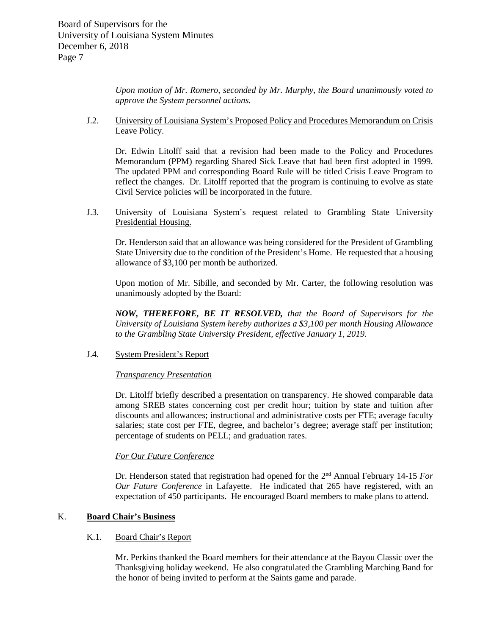*Upon motion of Mr. Romero, seconded by Mr. Murphy, the Board unanimously voted to approve the System personnel actions.*

J.2. University of Louisiana System's Proposed Policy and Procedures Memorandum on Crisis Leave Policy.

Dr. Edwin Litolff said that a revision had been made to the Policy and Procedures Memorandum (PPM) regarding Shared Sick Leave that had been first adopted in 1999. The updated PPM and corresponding Board Rule will be titled Crisis Leave Program to reflect the changes. Dr. Litolff reported that the program is continuing to evolve as state Civil Service policies will be incorporated in the future.

J.3. University of Louisiana System's request related to Grambling State University Presidential Housing.

Dr. Henderson said that an allowance was being considered for the President of Grambling State University due to the condition of the President's Home. He requested that a housing allowance of \$3,100 per month be authorized.

Upon motion of Mr. Sibille, and seconded by Mr. Carter, the following resolution was unanimously adopted by the Board:

*NOW, THEREFORE, BE IT RESOLVED, that the Board of Supervisors for the University of Louisiana System hereby authorizes a \$3,100 per month Housing Allowance to the Grambling State University President, effective January 1, 2019.*

# J.4. System President's Report

### *Transparency Presentation*

Dr. Litolff briefly described a presentation on transparency. He showed comparable data among SREB states concerning cost per credit hour; tuition by state and tuition after discounts and allowances; instructional and administrative costs per FTE; average faculty salaries; state cost per FTE, degree, and bachelor's degree; average staff per institution; percentage of students on PELL; and graduation rates.

### *For Our Future Conference*

Dr. Henderson stated that registration had opened for the 2nd Annual February 14-15 *For Our Future Conference* in Lafayette. He indicated that 265 have registered, with an expectation of 450 participants. He encouraged Board members to make plans to attend.

# K. **Board Chair's Business**

# K.1. Board Chair's Report

Mr. Perkins thanked the Board members for their attendance at the Bayou Classic over the Thanksgiving holiday weekend. He also congratulated the Grambling Marching Band for the honor of being invited to perform at the Saints game and parade.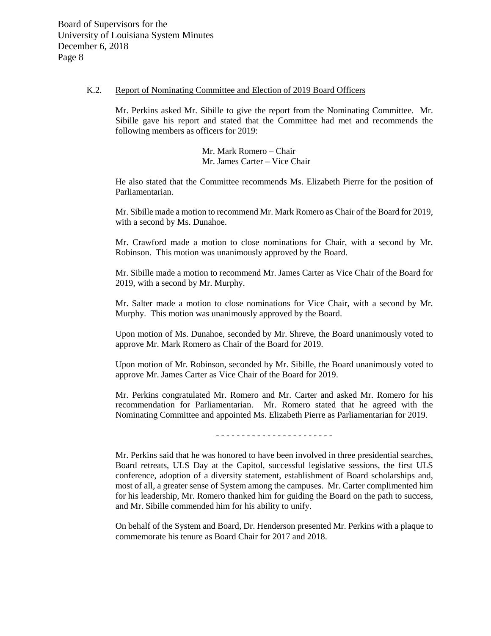#### K.2. Report of Nominating Committee and Election of 2019 Board Officers

Mr. Perkins asked Mr. Sibille to give the report from the Nominating Committee. Mr. Sibille gave his report and stated that the Committee had met and recommends the following members as officers for 2019:

> Mr. Mark Romero – Chair Mr. James Carter – Vice Chair

He also stated that the Committee recommends Ms. Elizabeth Pierre for the position of Parliamentarian.

Mr. Sibille made a motion to recommend Mr. Mark Romero as Chair of the Board for 2019, with a second by Ms. Dunahoe.

Mr. Crawford made a motion to close nominations for Chair, with a second by Mr. Robinson. This motion was unanimously approved by the Board.

Mr. Sibille made a motion to recommend Mr. James Carter as Vice Chair of the Board for 2019, with a second by Mr. Murphy.

Mr. Salter made a motion to close nominations for Vice Chair, with a second by Mr. Murphy. This motion was unanimously approved by the Board.

Upon motion of Ms. Dunahoe, seconded by Mr. Shreve, the Board unanimously voted to approve Mr. Mark Romero as Chair of the Board for 2019.

Upon motion of Mr. Robinson, seconded by Mr. Sibille, the Board unanimously voted to approve Mr. James Carter as Vice Chair of the Board for 2019.

Mr. Perkins congratulated Mr. Romero and Mr. Carter and asked Mr. Romero for his recommendation for Parliamentarian. Mr. Romero stated that he agreed with the Nominating Committee and appointed Ms. Elizabeth Pierre as Parliamentarian for 2019.

- - - - - - - - - - - - - - - - - - - - - - -

Mr. Perkins said that he was honored to have been involved in three presidential searches, Board retreats, ULS Day at the Capitol, successful legislative sessions, the first ULS conference, adoption of a diversity statement, establishment of Board scholarships and, most of all, a greater sense of System among the campuses. Mr. Carter complimented him for his leadership, Mr. Romero thanked him for guiding the Board on the path to success, and Mr. Sibille commended him for his ability to unify.

On behalf of the System and Board, Dr. Henderson presented Mr. Perkins with a plaque to commemorate his tenure as Board Chair for 2017 and 2018.